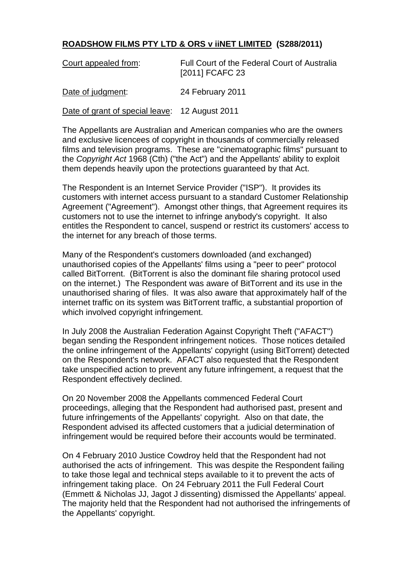## **ROADSHOW FILMS PTY LTD & ORS v iiNET LIMITED (S288/2011)**

| Court appealed from:                           | Full Court of the Federal Court of Australia<br>[2011] FCAFC 23 |
|------------------------------------------------|-----------------------------------------------------------------|
| Date of judgment:                              | 24 February 2011                                                |
| Date of grant of special leave: 12 August 2011 |                                                                 |

The Appellants are Australian and American companies who are the owners and exclusive licencees of copyright in thousands of commercially released films and television programs. These are "cinematographic films" pursuant to the *Copyright Act* 1968 (Cth) ("the Act") and the Appellants' ability to exploit them depends heavily upon the protections guaranteed by that Act.

The Respondent is an Internet Service Provider ("ISP"). It provides its customers with internet access pursuant to a standard Customer Relationship Agreement ("Agreement"). Amongst other things, that Agreement requires its customers not to use the internet to infringe anybody's copyright. It also entitles the Respondent to cancel, suspend or restrict its customers' access to the internet for any breach of those terms.

Many of the Respondent's customers downloaded (and exchanged) unauthorised copies of the Appellants' films using a "peer to peer" protocol called BitTorrent. (BitTorrent is also the dominant file sharing protocol used on the internet.) The Respondent was aware of BitTorrent and its use in the unauthorised sharing of files. It was also aware that approximately half of the internet traffic on its system was BitTorrent traffic, a substantial proportion of which involved copyright infringement.

In July 2008 the Australian Federation Against Copyright Theft ("AFACT") began sending the Respondent infringement notices. Those notices detailed the online infringement of the Appellants' copyright (using BitTorrent) detected on the Respondent's network. AFACT also requested that the Respondent take unspecified action to prevent any future infringement, a request that the Respondent effectively declined.

On 20 November 2008 the Appellants commenced Federal Court proceedings, alleging that the Respondent had authorised past, present and future infringements of the Appellants' copyright. Also on that date, the Respondent advised its affected customers that a judicial determination of infringement would be required before their accounts would be terminated.

On 4 February 2010 Justice Cowdroy held that the Respondent had not authorised the acts of infringement. This was despite the Respondent failing to take those legal and technical steps available to it to prevent the acts of infringement taking place. On 24 February 2011 the Full Federal Court (Emmett & Nicholas JJ, Jagot J dissenting) dismissed the Appellants' appeal. The majority held that the Respondent had not authorised the infringements of the Appellants' copyright.